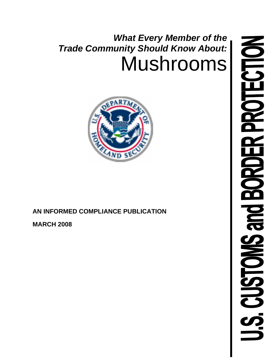# *What Every Member of the Trade Community Should Know About:*  Mushrooms



# **AN INFORMED COMPLIANCE PUBLICATION**

**MARCH 2008**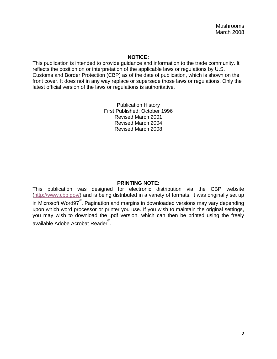#### **NOTICE:**

This publication is intended to provide guidance and information to the trade community. It reflects the position on or interpretation of the applicable laws or regulations by U.S. Customs and Border Protection (CBP) as of the date of publication, which is shown on the front cover. It does not in any way replace or supersede those laws or regulations. Only the latest official version of the laws or regulations is authoritative.

> Publication History First Published: October 1996 Revised March 2001 Revised March 2004 Revised March 2008

#### **PRINTING NOTE:**

This publication was designed for electronic distribution via the CBP website [\(http://www.cbp.gov/\)](http://www.cbp.gov/) and is being distributed in a variety of formats. It was originally set up in Microsoft Word97 ® . Pagination and margins in downloaded versions may vary depending upon which word processor or printer you use. If you wish to maintain the original settings, you may wish to download the .pdf version, which can then be printed using the freely available Adobe Acrobat Reader<sup>®</sup>.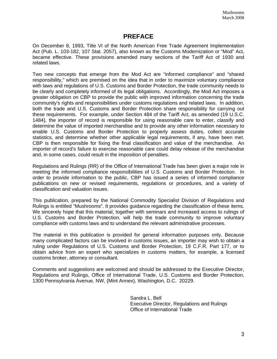#### **PREFACE**

On December 8, 1993, Title VI of the North American Free Trade Agreement Implementation Act (Pub. L. 103-182, 107 Stat. 2057), also known as the Customs Modernization or "Mod" Act, became effective. These provisions amended many sections of the Tariff Act of 1930 and related laws.

Two new concepts that emerge from the Mod Act are "informed compliance" and "shared responsibility," which are premised on the idea that in order to maximize voluntary compliance with laws and regulations of U.S. Customs and Border Protection, the trade community needs to be clearly and completely informed of its legal obligations. Accordingly, the Mod Act imposes a greater obligation on CBP to provide the public with improved information concerning the trade community's rights and responsibilities under customs regulations and related laws. In addition, both the trade and U.S. Customs and Border Protection share responsibility for carrying out these requirements. For example, under Section 484 of the Tariff Act, as amended (19 U.S.C. 1484), the importer of record is responsible for using reasonable care to enter, classify and determine the value of imported merchandise and to provide any other information necessary to enable U.S. Customs and Border Protection to properly assess duties, collect accurate statistics, and determine whether other applicable legal requirements, if any, have been met. CBP is then responsible for fixing the final classification and value of the merchandise. An importer of record's failure to exercise reasonable care could delay release of the merchandise and, in some cases, could result in the imposition of penalties.

Regulations and Rulings (RR) of the Office of International Trade has been given a major role in meeting the informed compliance responsibilities of U.S. Customs and Border Protection. In order to provide information to the public, CBP has issued a series of informed compliance publications on new or revised requirements, regulations or procedures, and a variety of classification and valuation issues.

This publication, prepared by the National Commodity Specialist Division of Regulations and Rulings is entitled "Mushrooms". It provides guidance regarding the classification of these items. We sincerely hope that this material, together with seminars and increased access to rulings of U.S. Customs and Border Protection, will help the trade community to improve voluntary compliance with customs laws and to understand the relevant administrative processes.

The material in this publication is provided for general information purposes only. Because many complicated factors can be involved in customs issues, an importer may wish to obtain a ruling under Regulations of U.S. Customs and Border Protection, 19 C.F.R. Part 177, or to obtain advice from an expert who specializes in customs matters, for example, a licensed customs broker, attorney or consultant.

Comments and suggestions are welcomed and should be addressed to the Executive Director, Regulations and Rulings, Office of International Trade, U.S. Customs and Border Protection, 1300 Pennsylvania Avenue, NW, (Mint Annex), Washington, D.C. 20229.

> Sandra L. Bell Executive Director, Regulations and Rulings Office of International Trade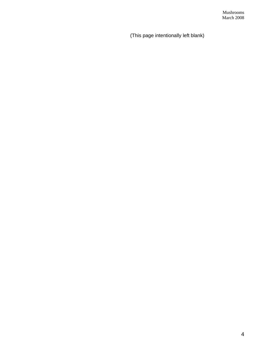(This page intentionally left blank)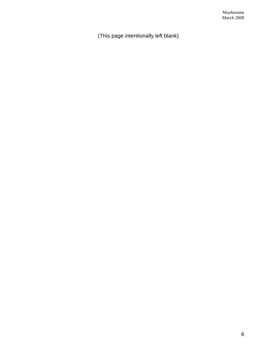(This page intentionally left blank)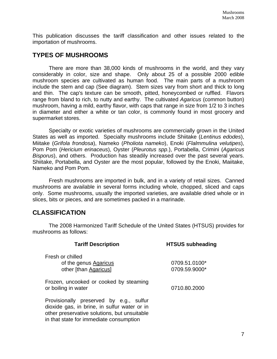This publication discusses the tariff classification and other issues related to the importation of mushrooms.

#### **TYPES OF MUSHROOMS**

There are more than 38,000 kinds of mushrooms in the world, and they vary considerably in color, size and shape. Only about 25 of a possible 2000 edible mushroom species are cultivated as human food. The main parts of a mushroom include the stem and cap (See diagram). Stem sizes vary from short and thick to long and thin. The cap's texture can be smooth, pitted, honeycombed or ruffled. Flavors range from bland to rich, to nutty and earthy. The cultivated *Agaricus* (common button) mushroom, having a mild, earthy flavor, with caps that range in size from 1/2 to 3 inches in diameter and either a white or tan color, is commonly found in most grocery and supermarket stores.

 Specialty or exotic varieties of mushrooms are commercially grown in the United States as well as imported. Specialty mushrooms include Shiitake (*Lentinus edodes*), Miitake (*Grifola frondosa*), Nameko (*Pholiota nameko*), Enoki (*Flalmmulina velutipes*), Pom Pom (*Hericium erinaceus*), Oyster (*Pleurotus spp*.), Portabella, Crimini (*Agaricus Bisporus*), and others. Production has steadily increased over the past several years. Shiitake, Portabella, and Oyster are the most popular, followed by the Enoki, Maiitake, Nameko and Pom Pom.

Fresh mushrooms are imported in bulk, and in a variety of retail sizes. Canned mushrooms are available in several forms including whole, chopped, sliced and caps only. Some mushrooms, usually the imported varieties, are available dried whole or in slices, bits or pieces, and are sometimes packed in a marinade.

#### **CLASSIFICATION**

 The 2008 Harmonized Tariff Schedule of the United States (HTSUS) provides for mushrooms as follows:

| <b>Tariff Description</b>                                                                                                                                                          | <b>HTSUS subheading</b>        |
|------------------------------------------------------------------------------------------------------------------------------------------------------------------------------------|--------------------------------|
| Fresh or chilled<br>of the genus Agaricus<br>other [than Agaricus]                                                                                                                 | 0709.51.0100*<br>0709.59.9000* |
| Frozen, uncooked or cooked by steaming<br>or boiling in water                                                                                                                      | 0710.80.2000                   |
| Provisionally preserved by e.g., sulfur<br>dioxide gas, in brine, in sulfur water or in<br>other preservative solutions, but unsuitable<br>in that state for immediate consumption |                                |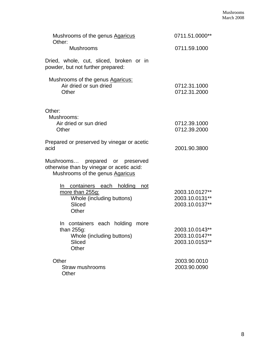| Mushrooms of the genus Agaricus<br>Other:                                                                          | 0711.51.0000**                                     |
|--------------------------------------------------------------------------------------------------------------------|----------------------------------------------------|
| <b>Mushrooms</b>                                                                                                   | 0711.59.1000                                       |
| Dried, whole, cut, sliced, broken or in<br>powder, but not further prepared:                                       |                                                    |
| Mushrooms of the genus Agaricus:<br>Air dried or sun dried<br>Other                                                | 0712.31.1000<br>0712.31.2000                       |
| Other:<br>Mushrooms:<br>Air dried or sun dried<br>Other                                                            | 0712.39.1000<br>0712.39.2000                       |
| Prepared or preserved by vinegar or acetic<br>acid                                                                 | 2001.90.3800                                       |
| Mushrooms prepared or<br>preserved<br>otherwise than by vinegar or acetic acid:<br>Mushrooms of the genus Agaricus |                                                    |
| In containers each holding not<br>more than 255g:<br>Whole (including buttons)<br>Sliced<br>Other                  | 2003.10.0127**<br>2003.10.0131**<br>2003.10.0137** |
| In containers each holding<br>more<br>than $255g$ :<br>Whole (including buttons)<br>Sliced<br>Other                | 2003.10.0143**<br>2003.10.0147**<br>2003.10.0153** |
| Other<br>Straw mushrooms<br>Other                                                                                  | 2003.90.0010<br>2003.90.0090                       |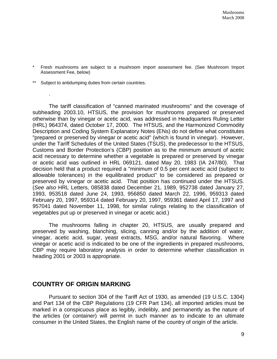- Fresh mushrooms are subject to a mushroom import assessment fee. (See Mushroom Import Assessment Fee, below)
- \*\* Subject to antidumping duties from certain countries.

.

The tariff classification of "canned marinated mushrooms" and the coverage of subheading 2003.10, HTSUS, the provision for mushrooms prepared or preserved otherwise than by vinegar or acetic acid, was addressed in Headquarters Ruling Letter (HRL) 964374, dated October 17, 2000. The HTSUS, and the Harmonized Commodity Description and Coding System Explanatory Notes (ENs) do not define what constitutes "prepared or preserved by vinegar or acetic acid" (which is found in vinegar). However, under the Tariff Schedules of the United States (TSUS), the predecessor to the HTSUS, Customs and Border Protection's (CBP) position as to the minimum amount of acetic acid necessary to determine whether a vegetable is prepared or preserved by vinegar or acetic acid was outlined in HRL 069121, dated May 20, 1983 (IA 247/80). That decision held that a product required a "minimum of 0.5 per cent acetic acid (subject to allowable tolerances) in the equilibrated product" to be considered as prepared or preserved by vinegar or acetic acid. That position has continued under the HTSUS. (*See also* HRL Letters, 085838 dated December 21, 1989, 952738 dated January 27, 1993, 953518 dated June 24, 1993, 956850 dated March 22, 1996, 959313 dated February 20, 1997, 959314 dated February 20, 1997, 959361 dated April 17, 1997 and 957041 dated November 11, 1998, for similar rulings relating to the classification of vegetables put up or preserved in vinegar or acetic acid.)

The mushrooms falling in chapter 20, HTSUS, are usually prepared and preserved by washing, blanching, slicing, canning and/or by the addition of water, vinegar, acetic acid, sugar, yeast extracts, MSG, and/or natural flavoring. Where vinegar or acetic acid is indicated to be one of the ingredients in prepared mushrooms, CBP may require laboratory analysis in order to determine whether classification in heading 2001 or 2003 is appropriate.

#### **COUNTRY OF ORIGIN MARKING**

 Pursuant to section 304 of the Tariff Act of 1930, as amended (19 U.S.C. 1304) and Part 134 of the CBP Regulations (19 CFR Part 134), all imported articles must be marked in a conspicuous place as legibly, indelibly, and permanently as the nature of the articles (or container) will permit in such manner as to indicate to an ultimate consumer in the United States, the English name of the country of origin of the article.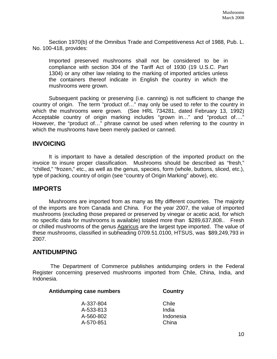Section 1970(b) of the Omnibus Trade and Competitiveness Act of 1988, Pub. L. No. 100-418, provides:

Imported preserved mushrooms shall not be considered to be in compliance with section 304 of the Tariff Act of 1930 (19 U.S.C. Part 1304) or any other law relating to the marking of imported articles unless the containers thereof indicate in English the country in which the mushrooms were grown.

Subsequent packing or preserving (i.e. canning) is not sufficient to change the country of origin. The term "product of…" may only be used to refer to the country in which the mushrooms were grown. (See HRL 734281, dated February 13, 1992) Acceptable country of origin marking includes "grown in…" and "product of…." However, the "product of…" phrase cannot be used when referring to the country in which the mushrooms have been merely packed or canned.

#### **INVOICING**

 It is important to have a detailed description of the imported product on the invoice to insure proper classification. Mushrooms should be described as "fresh," "chilled," "frozen," etc., as well as the genus, species, form (whole, buttons, sliced, etc.), type of packing, country of origin (see "country of Origin Marking" above), etc.

#### **IMPORTS**

Mushrooms are imported from as many as fifty different countries. The majority of the imports are from Canada and China. For the year 2007, the value of imported mushrooms (excluding those prepared or preserved by vinegar or acetic acid, for which no specific data for mushrooms is available) totaled more than \$289,637,808.. Fresh or chilled mushrooms of the genus Agaricus are the largest type imported. The value of these mushrooms, classified in subheading 0709.51.0100, HTSUS, was \$89,249,793 in 2007.

#### **ANTIDUMPING**

 The Department of Commerce publishes antidumping orders in the Federal Register concerning preserved mushrooms imported from Chile, China, India, and Indonesia.

#### **Antidumping case numbers Country**

| A-337-804 | Chile     |
|-----------|-----------|
| A-533-813 | India     |
| A-560-802 | Indonesia |
| A-570-851 | China     |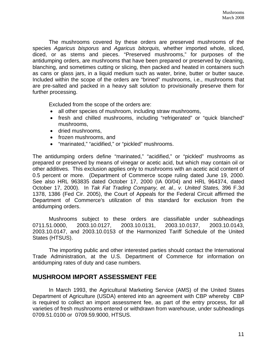The mushrooms covered by these orders are preserved mushrooms of the species *Agaricus bisporus* and *Agaricus bitorquis,* whether imported whole, sliced, diced, or as stems and pieces. "Preserved mushrooms," for purposes of the antidumping orders, are mushrooms that have been prepared or preserved by cleaning, blanching, and sometimes cutting or slicing, then packed and heated in containers such as cans or glass jars, in a liquid medium such as water, brine, butter or butter sauce. Included within the scope of the orders are "brined" mushrooms, i.e., mushrooms that are pre-salted and packed in a heavy salt solution to provisionally preserve them for further processing.

Excluded from the scope of the orders are:

- all other species of mushroom, including straw mushrooms,
- fresh and chilled mushrooms, including "refrigerated" or "quick blanched" mushrooms,
- dried mushrooms,
- frozen mushrooms, and
- "marinated," "acidified," or "pickled" mushrooms.

The antidumping orders define "marinated," "acidified," or "pickled" mushrooms as prepared or preserved by means of vinegar or acetic acid, but which may contain oil or other additives. This exclusion applies only to mushrooms with an acetic acid content of 0.5 percent or more. (Department of Commerce scope ruling dated June 19, 2000. See also HRL 963835 dated October 17, 2000 (IA 00/04) and HRL 964374, dated October 17, 2000). In *Tak Fat Trading Company, et. al., v. United States,* 396 F.3d 1378, 1386 (Fed Cir. 2005), the Court of Appeals for the Federal Circuit affirmed the Department of Commerce's utilization of this standard for exclusion from the antidumping orders.

Mushrooms subject to these orders are classifiable under subheadings 0711.51.0000, 2003.10.0127, 2003.10.0131, 2003.10.0137, 2003.10.0143, 2003.10.0147, and 2003.10.0153 of the Harmonized Tariff Schedule of the United States (HTSUS).

The importing public and other interested parties should contact the International Trade Administration, at the U.S. Department of Commerce for information on antidumping rates of duty and case numbers.

#### **MUSHROOM IMPORT ASSESSMENT FEE**

 In March 1993, the Agricultural Marketing Service (AMS) of the United States Department of Agriculture (USDA) entered into an agreement with CBP whereby CBP is required to collect an import assessment fee, as part of the entry process, for all varieties of fresh mushrooms entered or withdrawn from warehouse, under subheadings 0709.51.0100 or 0709.59.9000, HTSUS.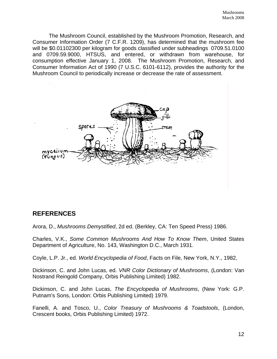The Mushroom Council, established by the Mushroom Promotion, Research, and Consumer Information Order (7 C.F.R. 1209), has determined that the mushroom fee will be \$0.01102300 per kilogram for goods classified under subheadings 0709.51.0100 and 0709.59.9000, HTSUS, and entered, or withdrawn from warehouse, for consumption effective January 1, 2008. The Mushroom Promotion, Research, and Consumer Information Act of 1990 (7 U.S.C. 6101-6112), provides the authority for the Mushroom Council to periodically increase or decrease the rate of assessment.



#### **REFERENCES**

Arora, D., *Mushrooms Demystified*, 2d ed. (Berkley, CA: Ten Speed Press) 1986.

Charles, V.K., *Some Common Mushrooms And How To Know Them*, United States Department of Agriculture, No. 143, Washington D.C., March 1931.

Coyle, L.P. Jr., ed. *World Encyclopedia of Food*, Facts on File, New York, N.Y., 1982,

Dickinson, C. and John Lucas, ed. *VNR Color Dictionary of Mushrooms*, (London: Van Nostrand Reingold Company, Orbis Publishing Limited) 1982.

Dickinson, C. and John Lucas, *The Encyclopedia of Mushrooms*, (New York: G.P. Putnam's Sons, London: Orbis Publishing Limited) 1979.

Fanelli, A. and Tosco, U., *Color Treasury of Mushrooms & Toadstools*, (London, Crescent books, Orbis Publishing Limited) 1972.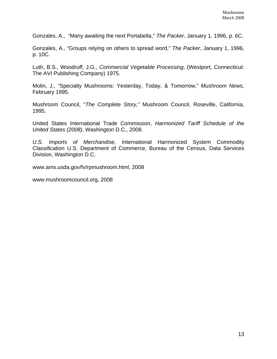Gonzales, A., "Many awaiting the next Portabella," *The Packer*, January 1, 1996, p. 6C.

Gonzales, A., "Groups relying on others to spread word," *The Packer*, January 1, 1996, p. 10C.

Luth, B.S., Woodruff, J.G., *Commercial Vegetable Processing*, (Westport, Connecticut: The AVI Publishing Company) 1975.

Molin, J., "Specialty Mushrooms: Yesterday, Today, & Tomorrow," *Mushroom News*, February 1995.

Mushroom Council, "*The Complete Story,"* Mushroom Council, Roseville, California, 1995.

United States International Trade Commission, *Harmonized Tariff Schedule of the United States (2008)*, Washington D.C., 2008.

*U.S. Imports of Merchandise,* International Harmonized System Commodity Classification U.S. Department of Commerce, Bureau of the Census, Data Services Division, Washington D.C.

www.ams.usda.gov/fv/rpmushroom.html, 2008

www.mushroomcouncil.org, 2008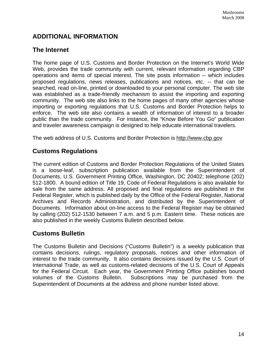# **ADDITIONAL INFORMATION**

# **The Internet**

The home page of U.S. Customs and Border Protection on the Internet's World Wide Web, provides the trade community with current, relevant information regarding CBP operations and items of special interest. The site posts information -- which includes proposed regulations, news releases, publications and notices, etc. -- that can be searched, read on-line, printed or downloaded to your personal computer. The web site was established as a trade-friendly mechanism to assist the importing and exporting community. The web site also links to the home pages of many other agencies whose importing or exporting regulations that U.S. Customs and Border Protection helps to enforce. The web site also contains a wealth of information of interest to a broader public than the trade community. For instance, the "Know Before You Go" publication and traveler awareness campaign is designed to help educate international travelers.

The web address of U.S. Customs and Border Protection is [http://www.cbp.gov](http://www.customs.ustreas.gov./)

# **Customs Regulations**

The current edition of Customs and Border Protection Regulations of the United States is a loose-leaf, subscription publication available from the Superintendent of Documents, U.S. Government Printing Office, Washington, DC 20402; telephone (202) 512-1800. A bound edition of Title 19, Code of Federal Regulations is also available for sale from the same address. All proposed and final regulations are published in the Federal Register, which is published daily by the Office of the Federal Register, National Archives and Records Administration, and distributed by the Superintendent of Documents. Information about on-line access to the Federal Register may be obtained by calling (202) 512-1530 between 7 a.m. and 5 p.m. Eastern time. These notices are also published in the weekly Customs Bulletin described below.

#### **Customs Bulletin**

The Customs Bulletin and Decisions ("Customs Bulletin") is a weekly publication that contains decisions, rulings, regulatory proposals, notices and other information of interest to the trade community. It also contains decisions issued by the U.S. Court of International Trade, as well as customs-related decisions of the U.S. Court of Appeals for the Federal Circuit. Each year, the Government Printing Office publishes bound volumes of the Customs Bulletin. Subscriptions may be purchased from the Superintendent of Documents at the address and phone number listed above.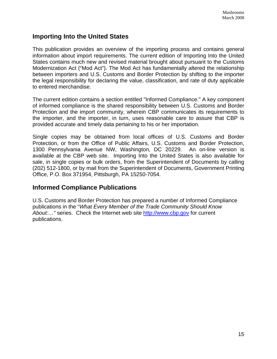# **Importing Into the United States**

This publication provides an overview of the importing process and contains general information about import requirements. The current edition of Importing Into the United States contains much new and revised material brought about pursuant to the Customs Modernization Act ("Mod Act"). The Mod Act has fundamentally altered the relationship between importers and U.S. Customs and Border Protection by shifting to the importer the legal responsibility for declaring the value, classification, and rate of duty applicable to entered merchandise.

The current edition contains a section entitled "Informed Compliance." A key component of informed compliance is the shared responsibility between U.S. Customs and Border Protection and the import community, wherein CBP communicates its requirements to the importer, and the importer, in turn, uses reasonable care to assure that CBP is provided accurate and timely data pertaining to his or her importation.

Single copies may be obtained from local offices of U.S. Customs and Border Protection, or from the Office of Public Affairs, U.S. Customs and Border Protection, 1300 Pennsylvania Avenue NW, Washington, DC 20229. An on-line version is available at the CBP web site. Importing Into the United States is also available for sale, in single copies or bulk orders, from the Superintendent of Documents by calling (202) 512-1800, or by mail from the Superintendent of Documents, Government Printing Office, P.O. Box 371954, Pittsburgh, PA 15250-7054.

#### **Informed Compliance Publications**

U.S. Customs and Border Protection has prepared a number of Informed Compliance publications in the "*What Every Member of the Trade Community Should Know*  About:..." series. Check the Internet web site http://www.cbp.gov for current publications.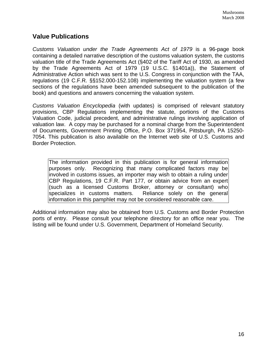### **Value Publications**

*Customs Valuation under the Trade Agreements Act of 1979* is a 96-page book containing a detailed narrative description of the customs valuation system, the customs valuation title of the Trade Agreements Act (§402 of the Tariff Act of 1930, as amended by the Trade Agreements Act of 1979 (19 U.S.C. §1401a)), the Statement of Administrative Action which was sent to the U.S. Congress in conjunction with the TAA, regulations (19 C.F.R. §§152.000-152.108) implementing the valuation system (a few sections of the regulations have been amended subsequent to the publication of the book) and questions and answers concerning the valuation system.

*Customs Valuation Encyclopedia* (with updates) is comprised of relevant statutory provisions, CBP Regulations implementing the statute, portions of the Customs Valuation Code, judicial precedent, and administrative rulings involving application of valuation law. A copy may be purchased for a nominal charge from the Superintendent of Documents, Government Printing Office, P.O. Box 371954, Pittsburgh, PA 15250- 7054. This publication is also available on the Internet web site of U.S. Customs and Border Protection.

The information provided in this publication is for general information purposes only. Recognizing that many complicated factors may be involved in customs issues, an importer may wish to obtain a ruling under CBP Regulations, 19 C.F.R. Part 177, or obtain advice from an expert (such as a licensed Customs Broker, attorney or consultant) who specializes in customs matters. Reliance solely on the general information in this pamphlet may not be considered reasonable care.

Additional information may also be obtained from U.S. Customs and Border Protection ports of entry. Please consult your telephone directory for an office near you. The listing will be found under U.S. Government, Department of Homeland Security.